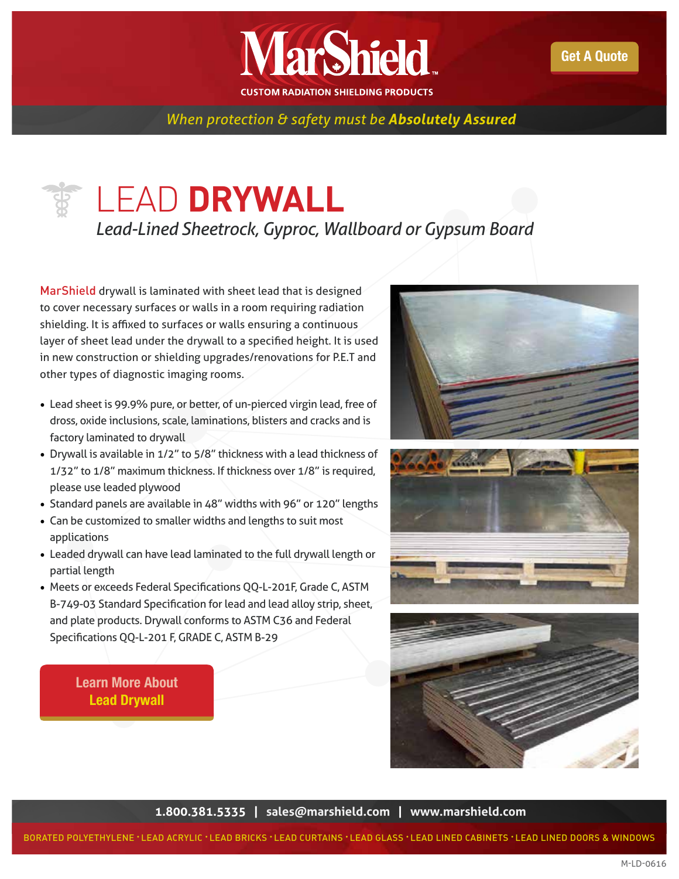

*When protection & safety must be Absolutely Assured* 

## LEAD **DRYWALL**

*Lead-Lined Sheetrock, Gyproc, Wallboard or Gypsum Board*

MarShield drywall is laminated with sheet lead that is designed to cover necessary surfaces or walls in a room requiring radiation shielding. It is affixed to surfaces or walls ensuring a continuous layer of sheet lead under the drywall to a specified height. It is used in new construction or shielding upgrades/renovations for P.E.T and other types of diagnostic imaging rooms.

- Lead sheet is 99.9% pure, or better, of un-pierced virgin lead, free of dross, oxide inclusions, scale, laminations, blisters and cracks and is factory laminated to drywall
- Drywall is available in 1/2" to 5/8" thickness with a lead thickness of 1/32" to 1/8" maximum thickness. If thickness over 1/8" is required, please use leaded plywood
- Standard panels are available in 48" widths with 96" or 120" lengths
- Can be customized to smaller widths and lengths to suit most applications
- Leaded drywall can have lead laminated to the full drywall length or partial length
- Meets or exceeds Federal Specifications QQ-L-201F, Grade C, ASTM B-749-03 Standard Specification for lead and lead alloy strip, sheet, and plate products. Drywall conforms to ASTM C36 and Federal Specifications QQ-L-201 F, GRADE C, ASTM B-29

## [Learn More About](http://marshield.com/medical-shielding/lead-drywall/) Lead Drywall







**1.800.381.5335 | [sales@marshield.com](http://marshield.com/marshield-email/) | [www.marshield.com](http://www.marshield.com)**

BORATED POLYETHYLENE • LEAD ACRYLIC • LEAD BRICKS • LEAD CURTAINS • LEAD GLASS • LEAD LINED CABINETS • LEAD LINED DOORS & WINDOWS